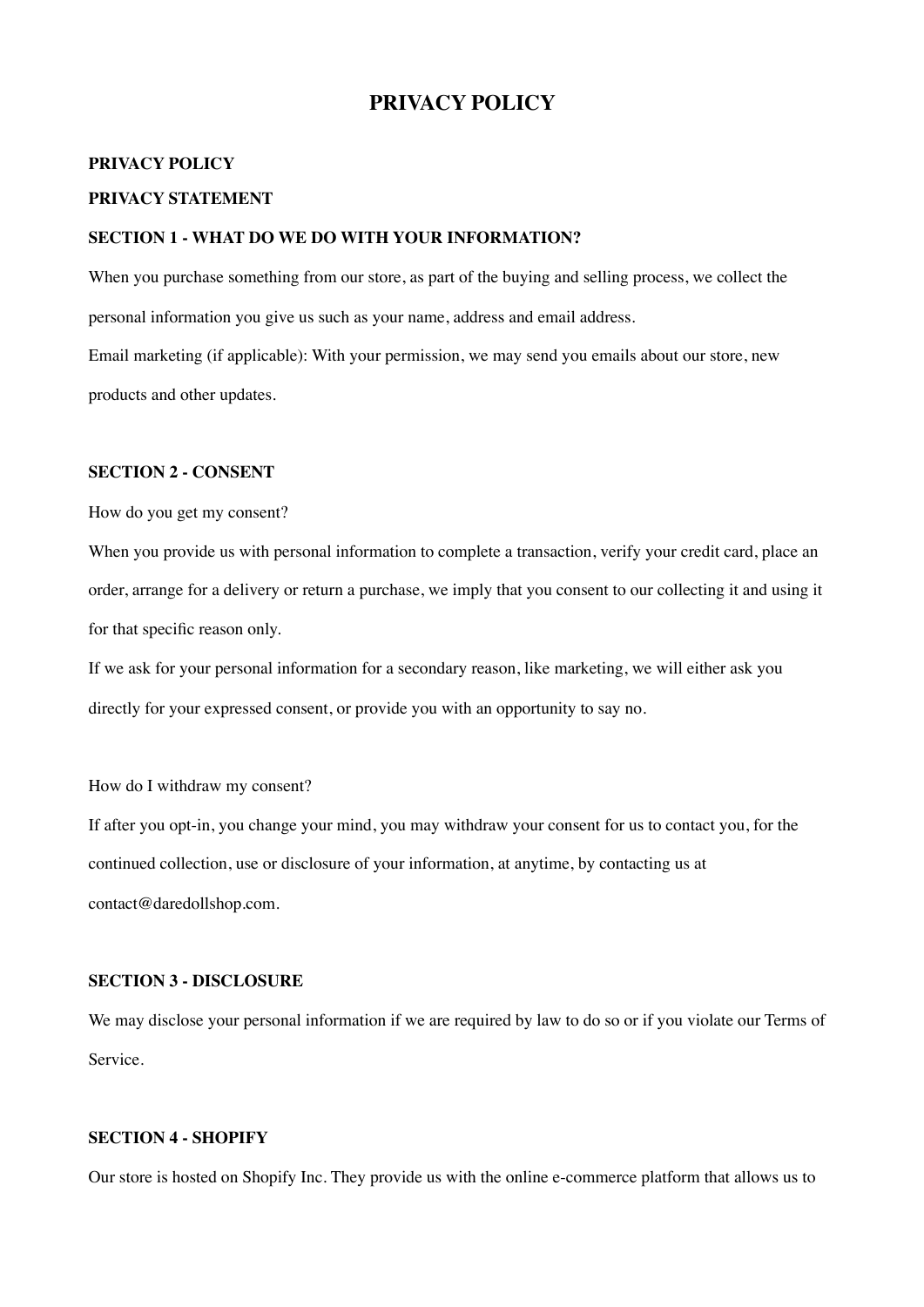# **PRIVACY POLICY**

# **PRIVACY POLICY**

# **PRIVACY STATEMENT**

# **SECTION 1 - WHAT DO WE DO WITH YOUR INFORMATION?**

When you purchase something from our store, as part of the buying and selling process, we collect the personal information you give us such as your name, address and email address. Email marketing (if applicable): With your permission, we may send you emails about our store, new products and other updates.

# **SECTION 2 - CONSENT**

How do you get my consent?

When you provide us with personal information to complete a transaction, verify your credit card, place an order, arrange for a delivery or return a purchase, we imply that you consent to our collecting it and using it for that specific reason only.

If we ask for your personal information for a secondary reason, like marketing, we will either ask you directly for your expressed consent, or provide you with an opportunity to say no.

### How do I withdraw my consent?

If after you opt-in, you change your mind, you may withdraw your consent for us to contact you, for the continued collection, use or disclosure of your information, at anytime, by contacting us at contact@daredollshop.com.

### **SECTION 3 - DISCLOSURE**

We may disclose your personal information if we are required by law to do so or if you violate our Terms of Service.

### **SECTION 4 - SHOPIFY**

Our store is hosted on Shopify Inc. They provide us with the online e-commerce platform that allows us to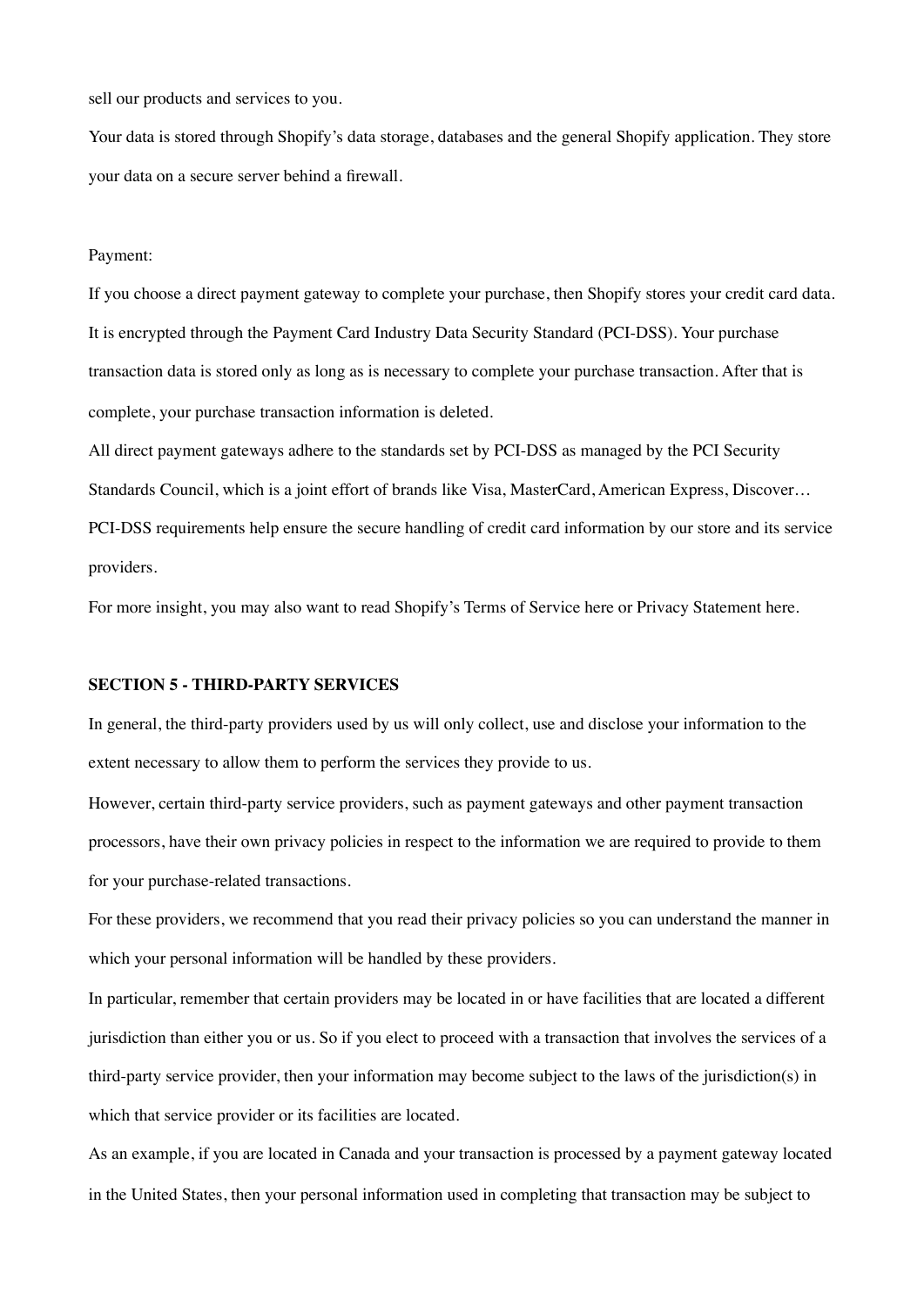sell our products and services to you.

Your data is stored through Shopify's data storage, databases and the general Shopify application. They store your data on a secure server behind a firewall.

#### Payment:

If you choose a direct payment gateway to complete your purchase, then Shopify stores your credit card data. It is encrypted through the Payment Card Industry Data Security Standard (PCI-DSS). Your purchase transaction data is stored only as long as is necessary to complete your purchase transaction. After that is complete, your purchase transaction information is deleted.

All direct payment gateways adhere to the standards set by PCI-DSS as managed by the PCI Security Standards Council, which is a joint effort of brands like Visa, MasterCard, American Express, Discover… PCI-DSS requirements help ensure the secure handling of credit card information by our store and its service providers.

For more insight, you may also want to read Shopify's Terms of Service here or Privacy Statement here.

#### **SECTION 5 - THIRD-PARTY SERVICES**

In general, the third-party providers used by us will only collect, use and disclose your information to the extent necessary to allow them to perform the services they provide to us.

However, certain third-party service providers, such as payment gateways and other payment transaction processors, have their own privacy policies in respect to the information we are required to provide to them for your purchase-related transactions.

For these providers, we recommend that you read their privacy policies so you can understand the manner in which your personal information will be handled by these providers.

In particular, remember that certain providers may be located in or have facilities that are located a different jurisdiction than either you or us. So if you elect to proceed with a transaction that involves the services of a third-party service provider, then your information may become subject to the laws of the jurisdiction(s) in which that service provider or its facilities are located.

As an example, if you are located in Canada and your transaction is processed by a payment gateway located in the United States, then your personal information used in completing that transaction may be subject to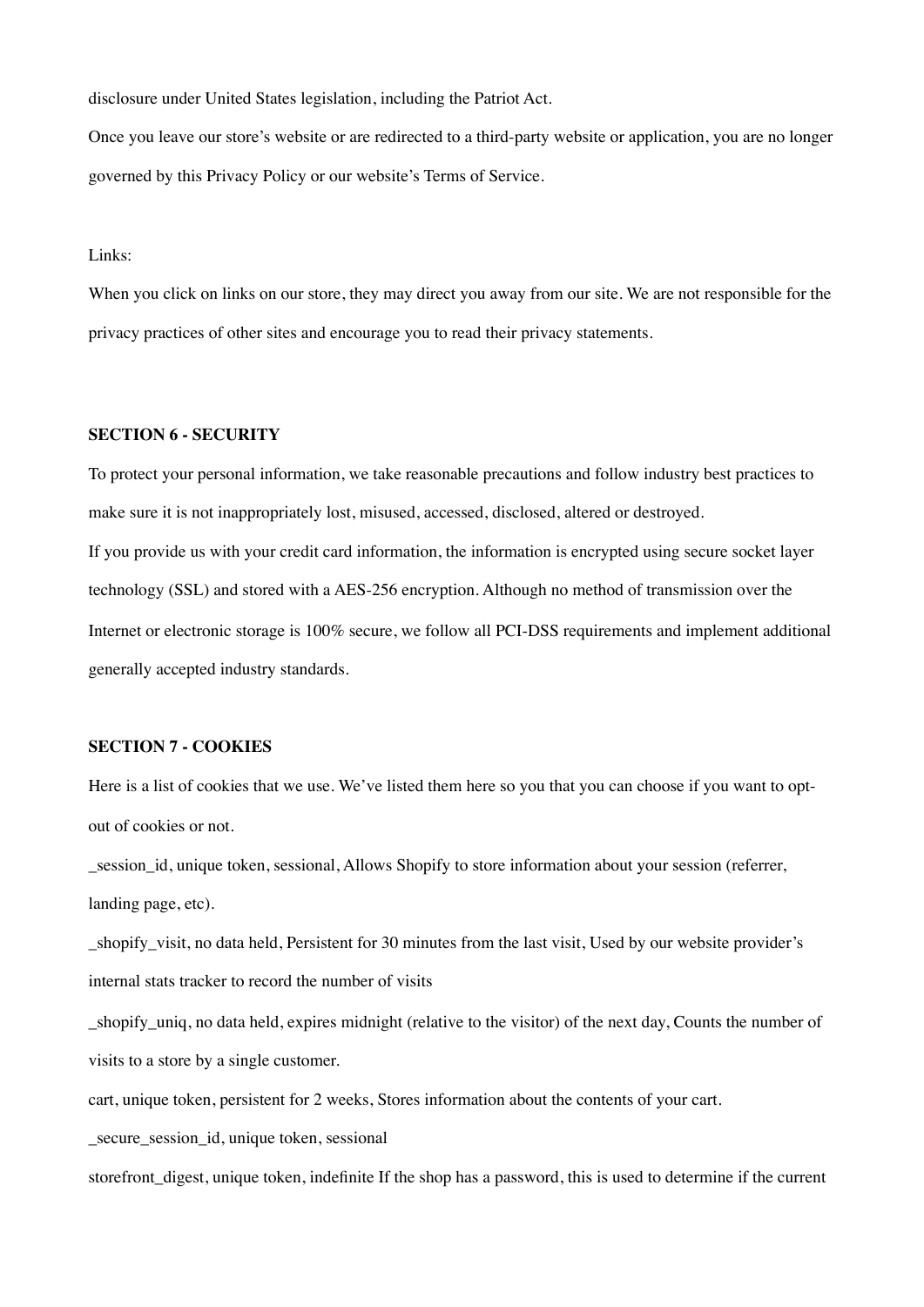disclosure under United States legislation, including the Patriot Act.

Once you leave our store's website or are redirected to a third-party website or application, you are no longer governed by this Privacy Policy or our website's Terms of Service.

Links:

When you click on links on our store, they may direct you away from our site. We are not responsible for the privacy practices of other sites and encourage you to read their privacy statements.

### **SECTION 6 - SECURITY**

To protect your personal information, we take reasonable precautions and follow industry best practices to make sure it is not inappropriately lost, misused, accessed, disclosed, altered or destroyed. If you provide us with your credit card information, the information is encrypted using secure socket layer technology (SSL) and stored with a AES-256 encryption. Although no method of transmission over the Internet or electronic storage is 100% secure, we follow all PCI-DSS requirements and implement additional generally accepted industry standards.

## **SECTION 7 - COOKIES**

Here is a list of cookies that we use. We've listed them here so you that you can choose if you want to optout of cookies or not.

\_session\_id, unique token, sessional, Allows Shopify to store information about your session (referrer, landing page, etc).

shopify visit, no data held, Persistent for 30 minutes from the last visit, Used by our website provider's internal stats tracker to record the number of visits

\_shopify\_uniq, no data held, expires midnight (relative to the visitor) of the next day, Counts the number of visits to a store by a single customer.

cart, unique token, persistent for 2 weeks, Stores information about the contents of your cart.

\_secure\_session\_id, unique token, sessional

storefront digest, unique token, indefinite If the shop has a password, this is used to determine if the current